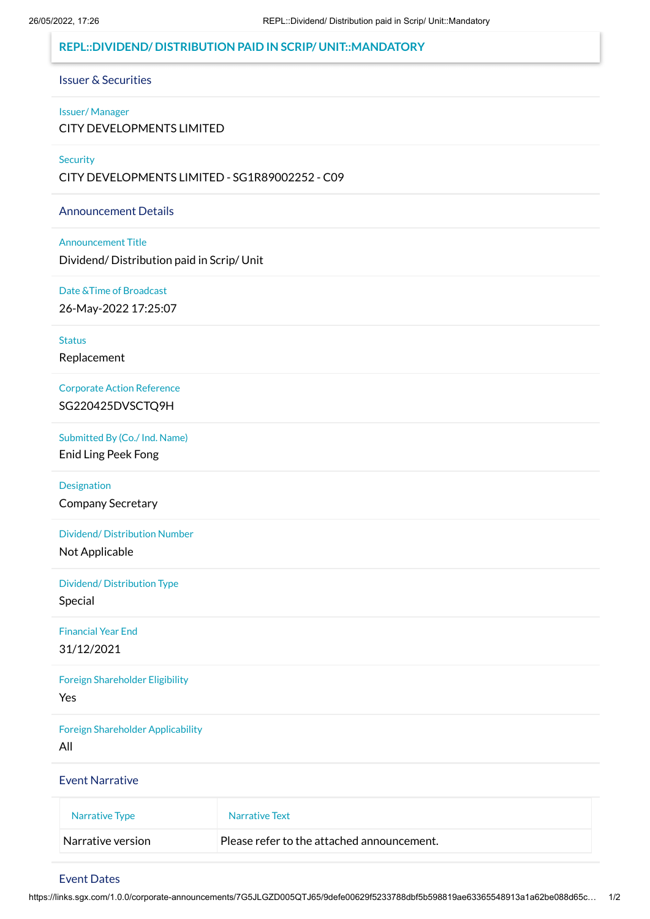## **REPL::DIVIDEND/ DISTRIBUTION PAID IN SCRIP/ UNIT::MANDATORY**

#### Issuer & Securities

### Issuer/ Manager CITY DEVELOPMENTS LIMITED

#### **Security**

CITY DEVELOPMENTS LIMITED - SG1R89002252 - C09

#### Announcement Details

Announcement Title Dividend/ Distribution paid in Scrip/ Unit

Date &Time of Broadcast 26-May-2022 17:25:07

**Status** 

Replacement

Corporate Action Reference

SG220425DVSCTQ9H

Submitted By (Co./ Ind. Name)

Enid Ling Peek Fong

Designation

Company Secretary

Dividend/ Distribution Number

Not Applicable

Dividend/ Distribution Type

Special

Financial Year End 31/12/2021

Foreign Shareholder Eligibility Yes

Foreign Shareholder Applicability

All

Event Narrative

| Narrative Type    | Narrative Text                             |
|-------------------|--------------------------------------------|
| Narrative version | Please refer to the attached announcement. |

### Event Dates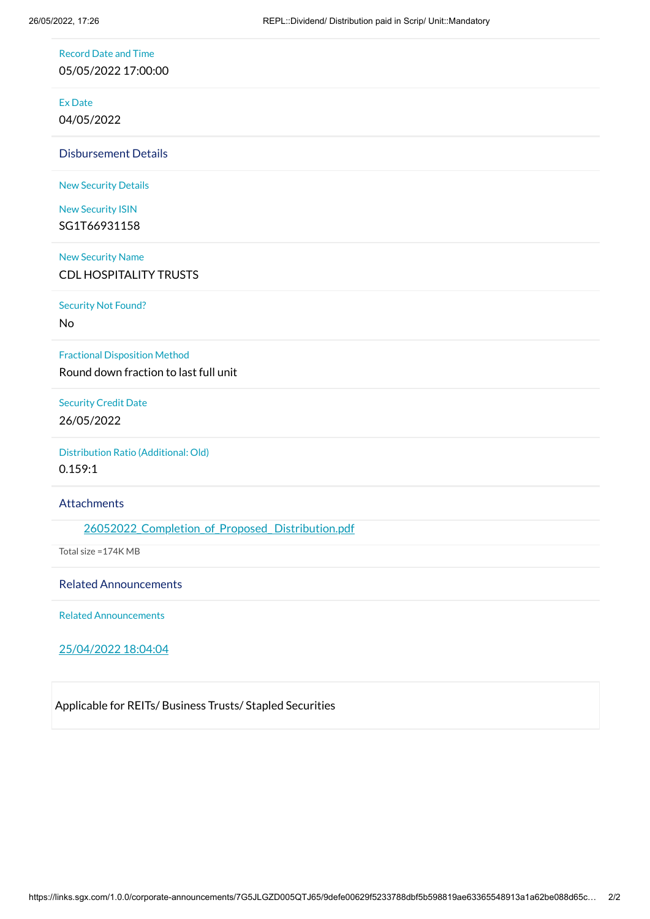Record Date and Time

05/05/2022 17:00:00

Ex Date

04/05/2022

Disbursement Details

New Security Details

New Security ISIN SG1T66931158

New Security Name CDL HOSPITALITY TRUSTS

Security Not Found?

No

Fractional Disposition Method

Round down fraction to last full unit

Security Credit Date 26/05/2022

Distribution Ratio (Additional: Old) 0.159:1

**Attachments** 

26052022 Completion of Proposed Distribution.pdf

Total size =174K MB

Related Announcements

Related Announcements

25/04/2022 18:04:04

Applicable for REITs/ Business Trusts/ Stapled Securities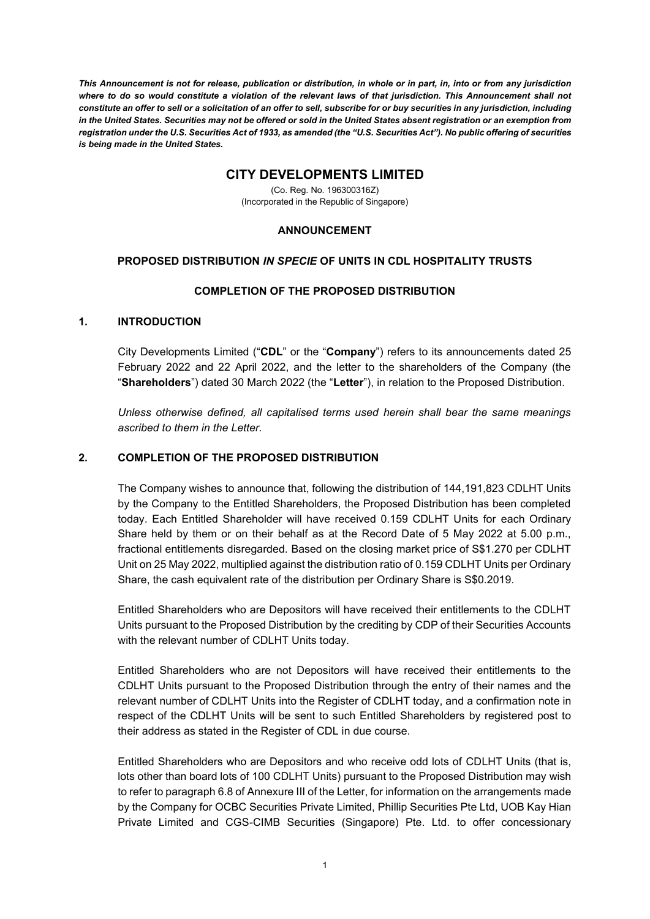*This Announcement is not for release, publication or distribution, in whole or in part, in, into or from any jurisdiction where to do so would constitute a violation of the relevant laws of that jurisdiction. This Announcement shall not constitute an offer to sell or a solicitation of an offer to sell, subscribe for or buy securities in any jurisdiction, including in the United States. Securities may not be offered or sold in the United States absent registration or an exemption from registration under the U.S. Securities Act of 1933, as amended (the "U.S. Securities Act"). No public offering of securities is being made in the United States.*

# **CITY DEVELOPMENTS LIMITED**

(Co. Reg. No. 196300316Z) (Incorporated in the Republic of Singapore)

### **ANNOUNCEMENT**

## **PROPOSED DISTRIBUTION** *IN SPECIE* **OF UNITS IN CDL HOSPITALITY TRUSTS**

## **COMPLETION OF THE PROPOSED DISTRIBUTION**

## **1. INTRODUCTION**

City Developments Limited ("**CDL**" or the "**Company**") refers to its announcements dated 25 February 2022 and 22 April 2022, and the letter to the shareholders of the Company (the "**Shareholders**") dated 30 March 2022 (the "**Letter**"), in relation to the Proposed Distribution.

*Unless otherwise defined, all capitalised terms used herein shall bear the same meanings ascribed to them in the Letter.*

## **2. COMPLETION OF THE PROPOSED DISTRIBUTION**

The Company wishes to announce that, following the distribution of 144,191,823 CDLHT Units by the Company to the Entitled Shareholders, the Proposed Distribution has been completed today. Each Entitled Shareholder will have received 0.159 CDLHT Units for each Ordinary Share held by them or on their behalf as at the Record Date of 5 May 2022 at 5.00 p.m., fractional entitlements disregarded. Based on the closing market price of S\$1.270 per CDLHT Unit on 25 May 2022, multiplied against the distribution ratio of 0.159 CDLHT Units per Ordinary Share, the cash equivalent rate of the distribution per Ordinary Share is S\$0.2019.

Entitled Shareholders who are Depositors will have received their entitlements to the CDLHT Units pursuant to the Proposed Distribution by the crediting by CDP of their Securities Accounts with the relevant number of CDLHT Units today.

Entitled Shareholders who are not Depositors will have received their entitlements to the CDLHT Units pursuant to the Proposed Distribution through the entry of their names and the relevant number of CDLHT Units into the Register of CDLHT today, and a confirmation note in respect of the CDLHT Units will be sent to such Entitled Shareholders by registered post to their address as stated in the Register of CDL in due course.

Entitled Shareholders who are Depositors and who receive odd lots of CDLHT Units (that is, lots other than board lots of 100 CDLHT Units) pursuant to the Proposed Distribution may wish to refer to paragraph 6.8 of Annexure III of the Letter, for information on the arrangements made by the Company for OCBC Securities Private Limited, Phillip Securities Pte Ltd, UOB Kay Hian Private Limited and CGS-CIMB Securities (Singapore) Pte. Ltd. to offer concessionary